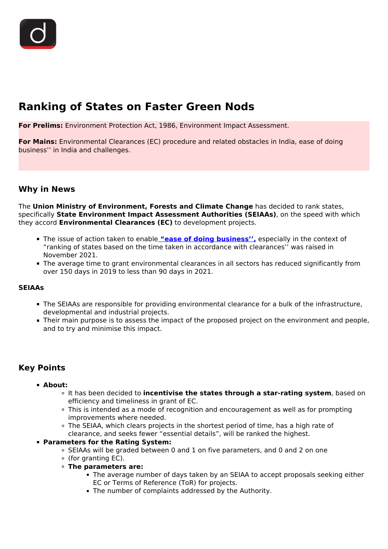# **Ranking of States on Faster Green Nods**

**For Prelims:** Environment Protection Act, 1986, Environment Impact Assessment.

**For Mains:** Environmental Clearances (EC) procedure and related obstacles in India, ease of doing business'' in India and challenges.

## **Why in News**

The **Union Ministry of Environment, Forests and Climate Change** has decided to rank states, specifically **State Environment Impact Assessment Authorities (SEIAAs)**, on the speed with which they accord **Environmental Clearances (EC)** to development projects.

- The issue of action taken to enable **["ease of doing business'',](/daily-updates/daily-news-analysis/world-bank-stops-ease-of-doing-business-report)** especially in the context of "ranking of states based on the time taken in accordance with clearances'' was raised in November 2021.
- The average time to grant environmental clearances in all sectors has reduced significantly from over 150 days in 2019 to less than 90 days in 2021.

#### **SEIAAs**

- The SEIAAs are responsible for providing environmental clearance for a bulk of the infrastructure, developmental and industrial projects.
- Their main purpose is to assess the impact of the proposed project on the environment and people, and to try and minimise this impact.

# **Key Points**

#### **About:**

- It has been decided to **incentivise the states through a star-rating system**, based on efficiency and timeliness in grant of EC.
- This is intended as a mode of recognition and encouragement as well as for prompting improvements where needed.
- The SEIAA, which clears projects in the shortest period of time, has a high rate of clearance, and seeks fewer "essential details", will be ranked the highest.

#### **Parameters for the Rating System:**

- SEIAAs will be graded between 0 and 1 on five parameters, and 0 and 2 on one
- (for granting EC).
- **The parameters are:**
	- The average number of days taken by an SEIAA to accept proposals seeking either EC or Terms of Reference (ToR) for projects.
	- The number of complaints addressed by the Authority.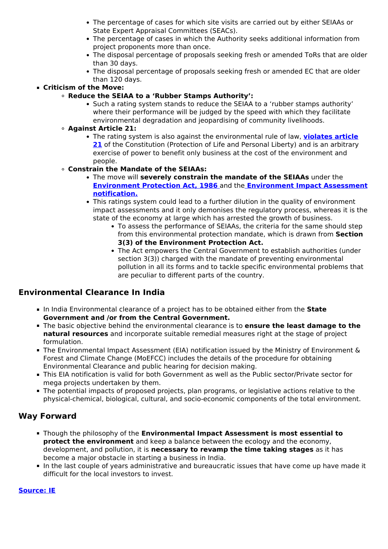- The percentage of cases for which site visits are carried out by either SEIAAs or State Expert Appraisal Committees (SEACs).
- The percentage of cases in which the Authority seeks additional information from project proponents more than once.
- The disposal percentage of proposals seeking fresh or amended ToRs that are older than 30 days.
- The disposal percentage of proposals seeking fresh or amended EC that are older than 120 days.

#### **Criticism of the Move:**

- **Reduce the SEIAA to a 'Rubber Stamps Authority':**
	- Such a rating system stands to reduce the SEIAA to a 'rubber stamps authority' where their performance will be judged by the speed with which they facilitate environmental degradation and jeopardising of community livelihoods.

### **Against Article 21:**

The rating system is also against the environmental rule of law, **[violates article](/to-the-points/Paper2/fundamental-rights-part-1) [21](/to-the-points/Paper2/fundamental-rights-part-1)** of the Constitution (Protection of Life and Personal Liberty) and is an arbitrary exercise of power to benefit only business at the cost of the environment and people.

## **Constrain the Mandate of the SEIAAs:**

- The move will **severely constrain the mandate of the SEIAAs** under the **[Environment Protection Act, 1986](/to-the-points/paper3/environment-protection-act-1986)** and the **[Environment Impact Assessment](/to-the-points/paper3/environmental-impact-assessment-eia-draft-2020#:~:text=The%20Ministry%20of%20Environment%2C%20Forest,(Protection)%20Act%2C%201986.) [notification.](/to-the-points/paper3/environmental-impact-assessment-eia-draft-2020#:~:text=The%20Ministry%20of%20Environment%2C%20Forest,(Protection)%20Act%2C%201986.)**
- This ratings system could lead to a further dilution in the quality of environment impact assessments and it only demonises the regulatory process, whereas it is the state of the economy at large which has arrested the growth of business.
	- To assess the performance of SEIAAs, the criteria for the same should step from this environmental protection mandate, which is drawn from **Section 3(3) of the Environment Protection Act.**
	- The Act empowers the Central Government to establish authorities (under section 3(3)) charged with the mandate of preventing environmental pollution in all its forms and to tackle specific environmental problems that are peculiar to different parts of the country.

## **Environmental Clearance In India**

- In India Environmental clearance of a project has to be obtained either from the **State Government and /or from the Central Government.**
- The basic objective behind the environmental clearance is to **ensure the least damage to the natural resources** and incorporate suitable remedial measures right at the stage of project formulation.
- The Environmental Impact Assessment (EIA) notification issued by the Ministry of Environment & Forest and Climate Change (MoEFCC) includes the details of the procedure for obtaining Environmental Clearance and public hearing for decision making.
- This EIA notification is valid for both Government as well as the Public sector/Private sector for mega projects undertaken by them.
- The potential impacts of proposed projects, plan programs, or legislative actions relative to the physical-chemical, biological, cultural, and socio-economic components of the total environment.

## **Way Forward**

- Though the philosophy of the **Environmental Impact Assessment is most essential to protect the environment** and keep a balance between the ecology and the economy, development, and pollution, it is **necessary to revamp the time taking stages** as it has become a major obstacle in starting a business in India.
- In the last couple of years administrative and bureaucratic issues that have come up have made it difficult for the local investors to invest.

#### **[Source: IE](https://indianexpress.com/article/india/centre-to-rank-states-on-faster-green-nods-fewer-details-sought-7732358/)**